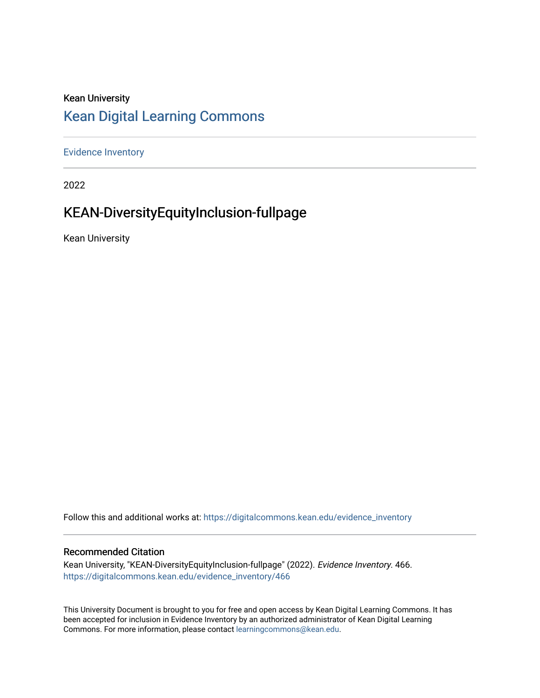## Kean University [Kean Digital Learning Commons](https://digitalcommons.kean.edu/)

[Evidence Inventory](https://digitalcommons.kean.edu/evidence_inventory) 

2022

# KEAN-DiversityEquityInclusion-fullpage

Kean University

Follow this and additional works at: [https://digitalcommons.kean.edu/evidence\\_inventory](https://digitalcommons.kean.edu/evidence_inventory?utm_source=digitalcommons.kean.edu%2Fevidence_inventory%2F466&utm_medium=PDF&utm_campaign=PDFCoverPages)

#### Recommended Citation

Kean University, "KEAN-DiversityEquityInclusion-fullpage" (2022). Evidence Inventory. 466. [https://digitalcommons.kean.edu/evidence\\_inventory/466](https://digitalcommons.kean.edu/evidence_inventory/466?utm_source=digitalcommons.kean.edu%2Fevidence_inventory%2F466&utm_medium=PDF&utm_campaign=PDFCoverPages)

This University Document is brought to you for free and open access by Kean Digital Learning Commons. It has been accepted for inclusion in Evidence Inventory by an authorized administrator of Kean Digital Learning Commons. For more information, please contact [learningcommons@kean.edu.](mailto:learningcommons@kean.edu)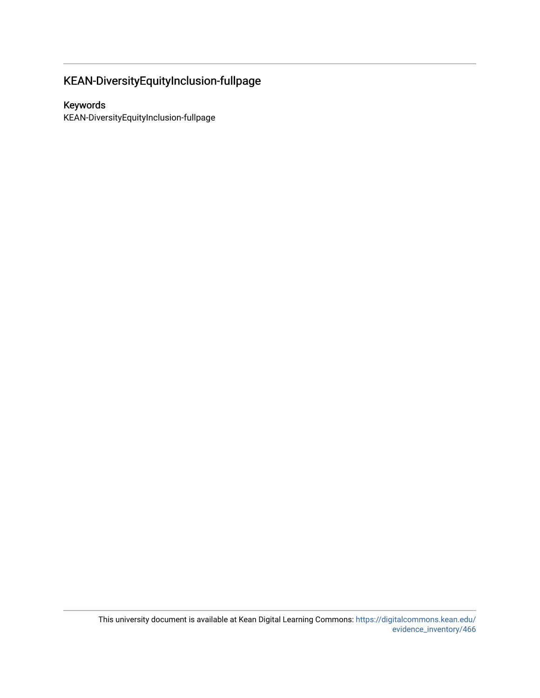## KEAN-DiversityEquityInclusion-fullpage

### Keywords

KEAN-DiversityEquityInclusion-fullpage